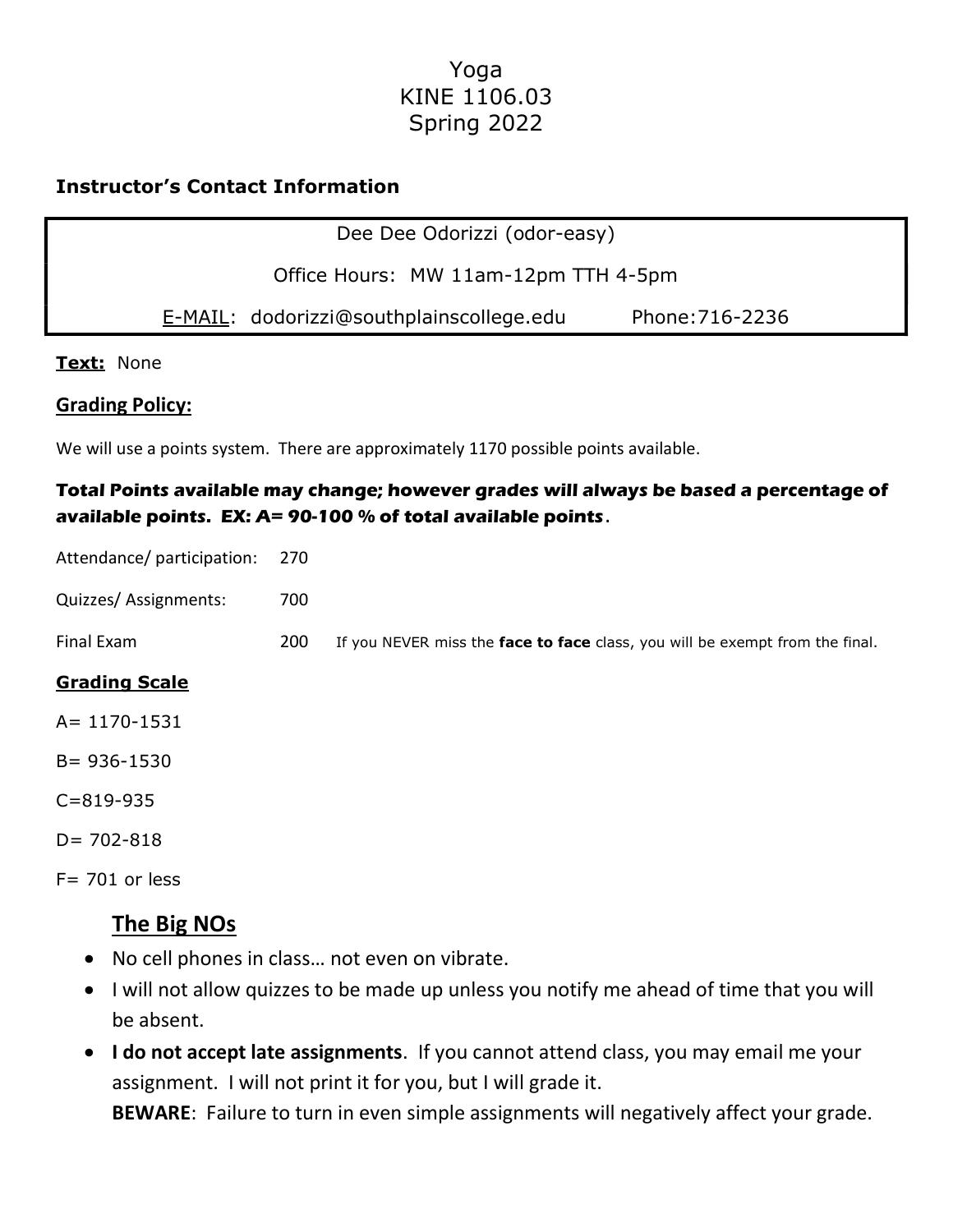# Yoga KINE 1106.03 Spring 2022

## Instructor's Contact Information

| Dee Dee Odorizzi (odor-easy) |  |
|------------------------------|--|
|------------------------------|--|

Office Hours: MW 11am-12pm TTH 4-5pm

E-MAIL: dodorizzi@southplainscollege.edu Phone:716-2236

### Text: None

### Grading Policy:

We will use a points system. There are approximately 1170 possible points available.

## Total Points available may change; however grades will always be based a percentage of available points. EX: A= 90-100 % of total available points.

Attendance/ participation: 270

Quizzes/ Assignments: 700

Final Exam 200 If you NEVER miss the face to face class, you will be exempt from the final.

### Grading Scale

A= 1170-1531

B= 936-1530

C=819-935

 $D = 702 - 818$ 

 $F = 701$  or less

# The Big NOs

- No cell phones in class… not even on vibrate.
- I will not allow quizzes to be made up unless you notify me ahead of time that you will be absent.
- I do not accept late assignments. If you cannot attend class, you may email me your assignment. I will not print it for you, but I will grade it.

BEWARE: Failure to turn in even simple assignments will negatively affect your grade.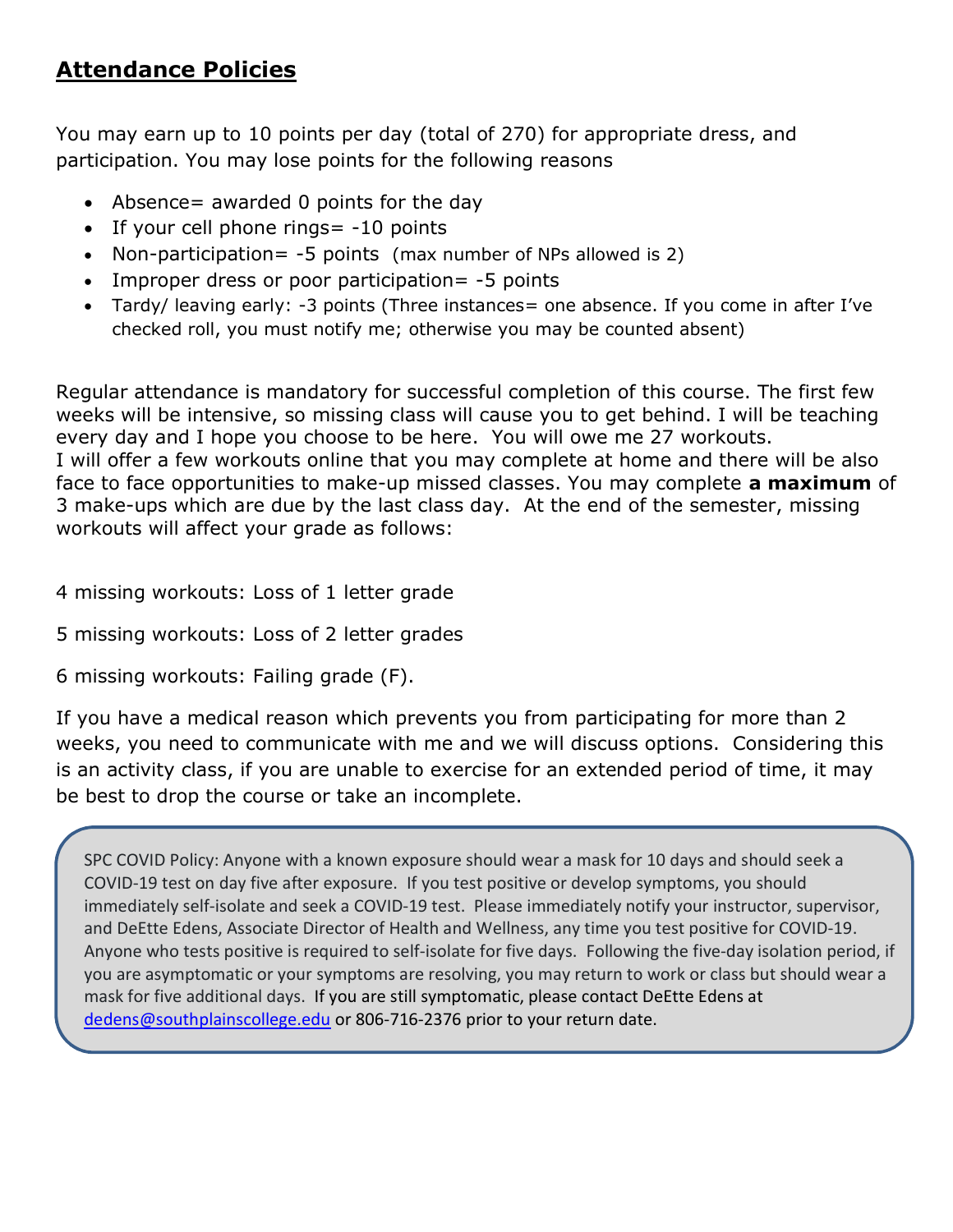# Attendance Policies

You may earn up to 10 points per day (total of 270) for appropriate dress, and participation. You may lose points for the following reasons

- Absence= awarded 0 points for the day
- $\bullet$  If your cell phone rings = -10 points
- Non-participation= -5 points (max number of NPs allowed is 2)
- Improper dress or poor participation = -5 points
- Tardy/ leaving early: -3 points (Three instances = one absence. If you come in after I've checked roll, you must notify me; otherwise you may be counted absent)

Regular attendance is mandatory for successful completion of this course. The first few weeks will be intensive, so missing class will cause you to get behind. I will be teaching every day and I hope you choose to be here. You will owe me 27 workouts. I will offer a few workouts online that you may complete at home and there will be also face to face opportunities to make-up missed classes. You may complete **a maximum** of 3 make-ups which are due by the last class day. At the end of the semester, missing workouts will affect your grade as follows:

4 missing workouts: Loss of 1 letter grade

5 missing workouts: Loss of 2 letter grades

6 missing workouts: Failing grade (F).

If you have a medical reason which prevents you from participating for more than 2 weeks, you need to communicate with me and we will discuss options. Considering this is an activity class, if you are unable to exercise for an extended period of time, it may be best to drop the course or take an incomplete.

SPC COVID Policy: Anyone with a known exposure should wear a mask for 10 days and should seek a COVID-19 test on day five after exposure. If you test positive or develop symptoms, you should immediately self-isolate and seek a COVID-19 test. Please immediately notify your instructor, supervisor, and DeEtte Edens, Associate Director of Health and Wellness, any time you test positive for COVID-19. Anyone who tests positive is required to self-isolate for five days. Following the five-day isolation period, if you are asymptomatic or your symptoms are resolving, you may return to work or class but should wear a mask for five additional days. If you are still symptomatic, please contact DeEtte Edens at dedens@southplainscollege.edu or 806-716-2376 prior to your return date.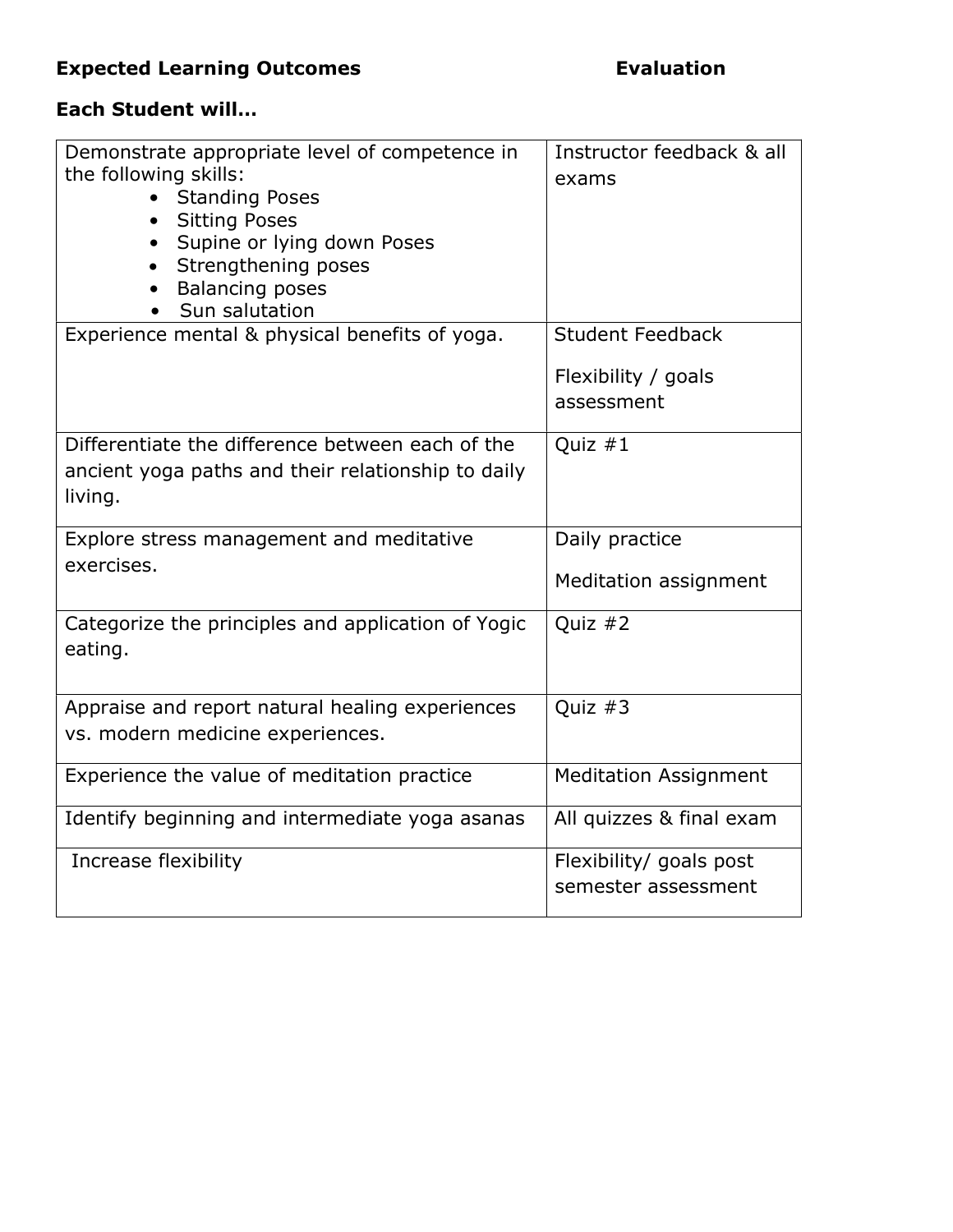# Expected Learning Outcomes **Expected Learning Outcomes**

# Each Student will…

| Demonstrate appropriate level of competence in<br>the following skills:<br><b>Standing Poses</b><br><b>Sitting Poses</b><br>$\bullet$<br>Supine or lying down Poses<br>Strengthening poses<br><b>Balancing poses</b><br>Sun salutation | Instructor feedback & all<br>exams<br><b>Student Feedback</b> |
|----------------------------------------------------------------------------------------------------------------------------------------------------------------------------------------------------------------------------------------|---------------------------------------------------------------|
| Experience mental & physical benefits of yoga.                                                                                                                                                                                         | Flexibility / goals<br>assessment                             |
| Differentiate the difference between each of the<br>ancient yoga paths and their relationship to daily<br>living.                                                                                                                      | Quiz $#1$                                                     |
| Explore stress management and meditative<br>exercises.                                                                                                                                                                                 | Daily practice<br>Meditation assignment                       |
| Categorize the principles and application of Yogic<br>eating.                                                                                                                                                                          | Quiz #2                                                       |
| Appraise and report natural healing experiences<br>vs. modern medicine experiences.                                                                                                                                                    | Quiz $#3$                                                     |
| Experience the value of meditation practice                                                                                                                                                                                            | <b>Meditation Assignment</b>                                  |
| Identify beginning and intermediate yoga asanas                                                                                                                                                                                        | All quizzes & final exam                                      |
| Increase flexibility                                                                                                                                                                                                                   | Flexibility/ goals post<br>semester assessment                |